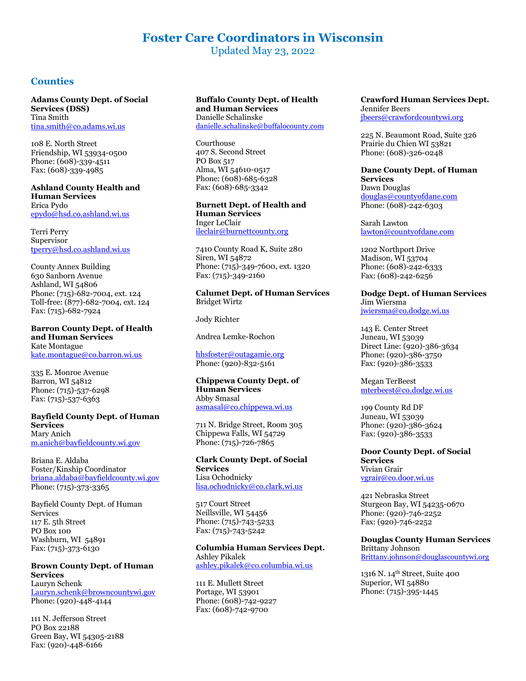# **Foster Care Coordinators in Wisconsin**

Updated May 23, 2022

# **Counties**

**Adams County Dept. of Social Services (DSS)** Tina Smith [tina.smith@co.adams.wi.us](mailto:tina.smith@co.adams.wi.us)

108 E. North Street Friendship, WI 53934-0500 Phone: (608)-339-4511 Fax: (608)-339-4985

#### **Ashland County Health and Human Services** Erica Pydo [epydo@hsd.co.ashland.wi.us](mailto:epydo@hsd.co.ashland.wi.us)

Terri Perry

Supervisor [tperry@hsd.co.ashland.wi.us](mailto:tperry@hsd.co.ashland.wi.us)

County Annex Building 630 Sanborn Avenue Ashland, WI 54806 Phone: (715)-682-7004, ext. 124 Toll-free: (877)-682-7004, ext. 124 Fax: (715)-682-7924

**Barron County Dept. of Health and Human Services** Kate Montague [kate.montague@co.barron.wi.us](mailto:kate.montague@co.barron.wi.us)

335 E. Monroe Avenue Barron, WI 54812 Phone: (715)-537-6298 Fax: (715)-537-6363

### **Bayfield County Dept. of Human Services** Mary Anich [m.anich@bayfieldcounty.wi.gov](mailto:m.anich@bayfieldcounty.wi.gov)

Briana E. Aldaba Foster/Kinship Coordinator [briana.aldaba@bayfieldcounty.wi.gov](mailto:briana.aldaba@bayfieldcounty.wi.gov) Phone: (715)-373-3365

Bayfield County Dept. of Human Services 117 E. 5th Street PO Box 100 Washburn, WI 54891 Fax: (715)-373-6130

### **Brown County Dept. of Human Services** Lauryn Schenk [Lauryn.schenk@browncountywi.gov](mailto:Lauryn.schenk@browncountywi.gov) Phone: (920)-448-4144

111 N. Jefferson Street PO Box 22188 Green Bay, WI 54305-2188 Fax: (920)-448-6166

#### **Buffalo County Dept. of Health and Human Services** Danielle Schalinske [danielle.schalinske@buffalocounty.com](mailto:danielle.schalinske@buffalocounty.com)

Courthouse 407 S. Second Street PO Box 517 Alma, WI 54610-0517 Phone: (608)-685-6328 Fax: (608)-685-3342

**Burnett Dept. of Health and Human Services** Inger LeClair [ileclair@burnettcounty.org](mailto:ileclair@burnettcounty.org)

7410 County Road K, Suite 280 Siren, WI 54872 Phone: (715)-349-7600, ext. 1320 Fax: (715)-349-2160

**Calumet Dept. of Human Services** Bridget Wirtz

Jody Richter

Andrea Lemke-Rochon

[hhsfoster@outagamie.org](mailto:hhsfoster@outagamie.org) Phone: (920)-832-5161

### **Chippewa County Dept. of Human Services** Abby Smasal [asmasal@co.chippewa.wi.us](mailto:asmasal@co.chippewa.wi.us)

711 N. Bridge Street, Room 305 Chippewa Falls, WI 54729 Phone: (715)-726-7865

### **Clark County Dept. of Social Services** Lisa Ochodnicky [lisa.ochodnicky@co.clark.wi.us](mailto:Georgette.Nelson@co.clark.wi.us)

517 Court Street Neillsville, WI 54456 Phone: (715)-743-5233 Fax: (715)-743-5242

#### **Columbia Human Services Dept.** Ashley Pikalek [ashley.pikalek@co.columbia.wi.us](mailto:ashley.pikalek@co.columbia.wi.us)

111 E. Mullett Street Portage, WI 53901 Phone: (608)-742-9227 Fax: (608)-742-9700

**Crawford Human Services Dept.** Jennifer Beers [jbeers@crawfordcountywi.org](mailto:jbeers@crawfordcountywi.org)

225 N. Beaumont Road, Suite 326 Prairie du Chien WI 53821 Phone: (608)-326-0248

**Dane County Dept. of Human Services** Dawn Douglas [douglas@countyofdane.com](mailto:douglas@countyofdane.com) Phone: (608)-242-6303

Sarah Lawton [lawton@countyofdane.com](mailto:williams.deena@countyofdane.com)

1202 Northport Drive Madison, WI 53704 Phone: (608)-242-6333 Fax: (608)-242-6256

#### **Dodge Dept. of Human Services** Jim Wiersma

[jwiersma@co.dodge.wi.us](mailto:jwiersma@co.dodge.wi.us)

143 E. Center Street Juneau, WI 53039 Direct Line: (920)-386-3634 Phone: (920)-386-3750 Fax: (920)-386-3533

Megan TerBeest [mterbeest@co.dodge.wi.us](mailto:mterbeest@co.dodge.wi.us) 

199 County Rd DF Juneau, WI 53039 Phone: (920)-386-3624 Fax: (920)-386-3533

**Door County Dept. of Social Services** Vivian Grair [vgrair@co.door.wi.us](mailto:vgrair@co.door.wi.us)

421 Nebraska Street Sturgeon Bay, WI 54235-0670 Phone: (920)-746-2252 Fax: (920)-746-2252

# **Douglas County Human Services**

Brittany Johnson [Brittany.johnson@douglascountywi.org](mailto:Brittany.johnson@douglascountywi.org)

1316 N. 14th Street, Suite 400 Superior, WI 54880 Phone: (715)-395-1445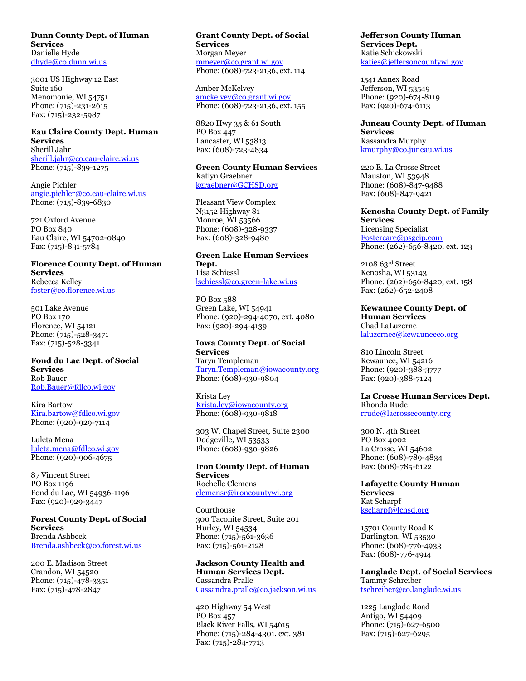### **Dunn County Dept. of Human Services** Danielle Hyde [dhyde@co.dunn.wi.us](mailto:dhyde@co.dunn.wi.us)

3001 US Highway 12 East Suite 160 Menomonie, WI 54751 Phone: (715)-231-2615 Fax: (715)-232-5987

# **Eau Claire County Dept. Human Services** Sherill Jahr [sherill.jahr@co.eau-claire.wi.us](mailto:sherill.jahr@co.eau-claire.wi.us)

Phone: (715)-839-1275 Angie Pichler

[angie.pichler@co.eau-claire.wi.us](mailto:angie.pichler@co.eau-claire.wi.us) Phone: (715)-839-6830

721 Oxford Avenue PO Box 840 Eau Claire, WI 54702-0840 Fax: (715)-831-5784

### **Florence County Dept. of Human Services** Rebecca Kelley [foster@co.florence.wi.us](mailto:foster@co.florence.wi.us)

501 Lake Avenue PO Box 170 Florence, WI 54121 Phone: (715)-528-3471

Fax: (715)-528-3341

# **Fond du Lac Dept. of Social Services** Rob Bauer [Rob.Bauer@fdlco.wi.gov](mailto:Rob.Bauer@fdlco.wi.gov)

Kira Bartow [Kira.bartow@fdlco.wi.gov](mailto:Kira.bartow@fdlco.wi.gov) Phone: (920)-929-7114

Luleta Mena [luleta.mena@fdlco.wi.gov](mailto:luleta.mena@fdlco.wi.gov) Phone: (920)-906-4675

87 Vincent Street PO Box 1196 Fond du Lac, WI 54936-1196 Fax: (920)-929-3447

### **Forest County Dept. of Social Services** Brenda Ashbeck [Brenda.ashbeck@co.forest.wi.us](mailto:Brenda.ashbeck@co.forest.wi.us)

200 E. Madison Street Crandon, WI 54520 Phone: (715)-478-3351 Fax: (715)-478-2847

# **Grant County Dept. of Social Services** Morgan Meyer [mmeyer@co.grant.wi.gov](mailto:mmeyer@co.grant.wi.gov) Phone: (608)-723-2136, ext. 114

Amber McKelvey [amckelvey@co.grant.wi.gov](mailto:amckelvey@co.grant.wi.gov) Phone: (608)-723-2136, ext. 155

8820 Hwy 35 & 61 South PO Box 447 Lancaster, WI 53813 Fax: (608)-723-4834

# **Green County Human Services**

Katlyn Graebner [kgraebner@GCHSD.org](mailto:kgraebner@GCHSD.org)

Pleasant View Complex N3152 Highway 81 Monroe, WI 53566 Phone: (608)-328-9337 Fax: (608)-328-9480

# **Green Lake Human Services Dept.** Lisa Schiessl [lschiessl@co.green-lake.wi.us](mailto:lschiessl@co.green-lake.wi.us)

PO Box 588 Green Lake, WI 54941 Phone: (920)-294-4070, ext. 4080 Fax: (920)-294-4139

# **Iowa County Dept. of Social Services**

Taryn Templeman [Taryn.Templeman@iowacounty.org](mailto:Taryn.Templeman@iowacounty.org) Phone: (608)-930-9804

# Krista Ley [Krista.ley@iowacounty.org](mailto:Krista.ley@iowacounty.org) Phone: (608)-930-9818

303 W. Chapel Street, Suite 2300 Dodgeville, WI 53533 Phone: (608)-930-9826

# **Iron County Dept. of Human Services** Rochelle Clemens [clemensr@ironcountywi.org](mailto:clemensr@ironcountywi.org)

Courthouse 300 Taconite Street, Suite 201 Hurley, WI 54534 Phone: (715)-561-3636 Fax: (715)-561-2128

# **Jackson County Health and Human Services Dept.** Cassandra Pralle [Cassandra.pralle@co.jackson.wi.us](mailto:Cassandra.pralle@co.jackson.wi.us)

420 Highway 54 West PO Box 457 Black River Falls, WI 54615 Phone: (715)-284-4301, ext. 381 Fax: (715)-284-7713

### **Jefferson County Human Services Dept.** Katie Schickowski [katies@jeffersoncountywi.gov](mailto:katies@jeffersoncountywi.gov)

1541 Annex Road Jefferson, WI 53549 Phone: (920)-674-8119 Fax: (920)-674-6113

# **Juneau County Dept. of Human Services** Kassandra Murphy [kmurphy@co.juneau.wi.us](mailto:kmurphy@co.juneau.wi.us)

220 E. La Crosse Street Mauston, WI 53948 Phone: (608)-847-9488 Fax: (608)-847-9421

# **Kenosha County Dept. of Family Services** Licensing Specialist

[Fostercare@psgcip.com](mailto:Fostercare@psgcip.com) Phone: (262)-656-8420, ext. 123

2108 63rd Street Kenosha, WI 53143 Phone: (262)-656-8420, ext. 158 Fax: (262)-652-2408

**Kewaunee County Dept. of Human Services** Chad LaLuzerne [laluzernec@kewauneeco.org](mailto:laluzernec@kewauneeco.org)

810 Lincoln Street Kewaunee, WI 54216 Phone: (920)-388-3777 Fax: (920)-388-7124

#### **La Crosse Human Services Dept.** Rhonda Rude

[rrude@lacrossecounty.org](mailto:rrude@lacrossecounty.org)

300 N. 4th Street PO Box 4002 La Crosse, WI 54602 Phone: (608)-789-4834 Fax: (608)-785-6122

### **Lafayette County Human Services** Kat Scharpf [kscharpf@lchsd.org](mailto:kscharpf@lchsd.org)

15701 County Road K Darlington, WI 53530 Phone: (608)-776-4933 Fax: (608)-776-4914

# **Langlade Dept. of Social Services** Tammy Schreiber [tschreiber@co.langlade.wi.us](mailto:tschreiber@co.langlade.wi.us)

1225 Langlade Road Antigo, WI 54409 Phone: (715)-627-6500 Fax: (715)-627-6295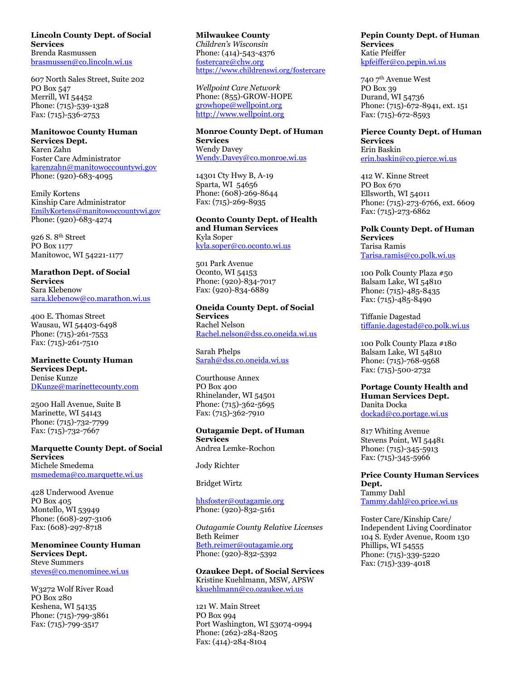#### **Lincoln County Dept. of Social Services** Brenda Rasmussen [brasmussen@co.lincoln.wi.us](mailto:brasmussen@co.lincoln.wi.us)

607 North Sales Street, Suite 202 PO Box 547 Merrill, WI 54452 Phone: (715)-539-1328 Fax: (715)-536-2753

#### **Manitowoc County Human Services Dept.**

Karen Zahn Foster Care Administrator [karenzahn@manitowoccountywi.gov](mailto:karenzahn@manitowoccountywi.gov) Phone: (920)-683-4095

Emily Kortens Kinship Care Administrator [EmilyKortens@manitowoccountywi.gov](mailto:EmilyKortens@manitowoccountywi.gov) Phone: (920)-683-4274

926 S. 8th Street PO Box 1177 Manitowoc, WI 54221-1177

#### **Marathon Dept. of Social Services**

Sara Klebenow [sara.klebenow@co.marathon.wi.us](mailto:sara.klebenow@co.marathon.wi.us)

400 E. Thomas Street Wausau, WI 54403-6498 Phone: (715)-261-7553 Fax: (715)-261-7510

### **Marinette County Human Services Dept.** Denise Kunze [DKunze@marinettecounty.com](mailto:DKunze@marinettecounty.com)

2500 Hall Avenue, Suite B Marinette, WI 54143 Phone: (715)-732-7799 Fax: (715)-732-7667

### **Marquette County Dept. of Social Services** Michele Smedema [msmedema@co.marquette.wi.us](mailto:msmedema@co.marquette.wi.us)

428 Underwood Avenue PO Box 405 Montello, WI 53949 Phone: (608)-297-3106 Fax: (608)-297-8718

# **Menominee County Human Services Dept.** Steve Summers [steves@co.menominee.wi.us](mailto:steves@co.menominee.wi.us)

W3272 Wolf River Road PO Box 280 Keshena, WI 54135 Phone: (715)-799-3861 Fax: (715)-799-351[7](mailto:steves@co.menominee.wi.us)

**Milwaukee County** *Children's Wisconsin* Phone: (414)-543-4376 [fostercare@chw.org](mailto:fostercare@chw.org) <https://www.childrenswi.org/fostercare>

*Wellpoint Care Network* Phone: (855)-GROW-HOPE [growhope@wellpoint.org](mailto:growhope@wellpoint.org) [http://www.wellpoint.org](http://www.wellpoint.org/)

# **Monroe County Dept. of Human Services** Wendy Davey [Wendy.Davey@co.monroe.wi.us](mailto:Wendy.Davey@co.monroe.wi.us)

14301 Cty Hwy B, A-19 Sparta, WI 54656 Phone: (608)-269-8644 Fax: (715)-269-8935

# **Oconto County Dept. of Health and Human Services** Kyla Soper [kyla.soper@co.oconto.wi.us](mailto:sara.diehlmann@co.oconto.wi.us)

501 Park Avenue Oconto, WI 54153 Phone: (920)-834-7017 Fax: (920)-834-6889

# **Oneida County Dept. of Social Services** Rachel Nelson

[Rachel.nelson@dss.co.oneida.wi.us](mailto:Rachel.nelson@dss.co.oneida.wi.us)

Sarah Phelps [Sarah@dss.co.oneida.wi.us](mailto:Sarah@dss.co.oneida.wi.us)

Courthouse Annex PO Box 400 Rhinelander, WI 54501 Phone: (715)-362-5695 Fax: (715)-362-7910

# **Outagamie Dept. of Human Services** Andrea Lemke-Rochon

Jody Richter

Bridget Wirtz

# [hhsfoster@outagamie.org](mailto:hhsfoster@outagamie.org) Phone: (920)-832-5161

*Outagamie County Relative Licenses* Beth Reimer [Beth.reimer@outagamie.org](mailto:Beth.reimer@outagamie.org) Phone: (920)-832-5392

# **Ozaukee Dept. of Social Services** Kristine Kuehlmann, MSW, APSW [kkuehlmann@co.ozaukee.wi.us](mailto:kkuehlmann@co.ozaukee.wi.us)

121 W. Main Street PO Box 994 Port Washington, WI 53074-0994 Phone: (262)-284-8205 Fax: (414)-284-8104

**Pepin County Dept. of Human Services** Katie Pfeiffer [kpfeiffer@co.pepin.wi.us](mailto:kpfeiffer@co.pepin.wi.us)

740 7th Avenue West PO Box 39 Durand, WI 54736 Phone: (715)-672-8941, ext. 151 Fax: (715)-672-8593

#### **Pierce County Dept. of Human Services** Erin Baskin

[erin.baskin@co.pierce.wi.us](mailto:erin.baskin@co.pierce.wi.us)

412 W. Kinne Street PO Box 670 Ellsworth, WI 54011 Phone: (715)-273-6766, ext. 6609 Fax: (715)-273-6862

# **Polk County Dept. of Human Services** Tarisa Ramis [Tarisa.ramis@co.polk.wi.us](mailto:Tarisa.ramis@co.polk.wi.us)

100 Polk County Plaza #50 Balsam Lake, WI 54810 Phone: (715)-485-8435 Fax: (715)-485-8490

Tiffanie Dagestad [tiffanie.dagestad@co.polk.wi.us](mailto:tiffanie.dagestad@co.polk.wi.us)

100 Polk County Plaza #180 Balsam Lake, WI 54810 Phone: (715)-768-9568 Fax: (715)-500-2732

# **Portage County Health and Human Services Dept.** Danita Docka [dockad@co.portage.wi.us](mailto:dockad@co.portage.wi.us)

817 Whiting Avenue Stevens Point, WI 54481 Phone: (715)-345-5913 Fax: (715)-345-5966

# **Price County Human Services Dept.** Tammy Dahl [Tammy.dahl@co.price.wi.us](mailto:Tammy.dahl@co.price.wi.us)

Foster Care/Kinship Care/ Independent Living Coordinator 104 S. Eyder Avenue, Room 130 Phillips, WI 54555 Phone: (715)-339-5220 Fax: (715)-339-4018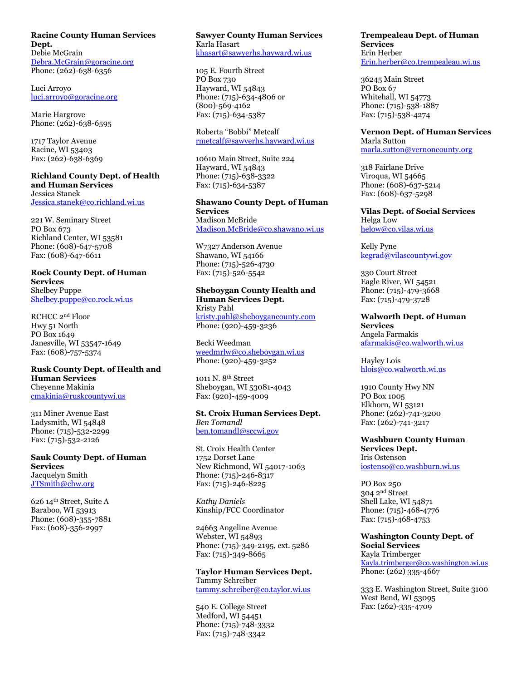#### **Racine County Human Services Dept.** Debie McGrain

[Debra.McGrain@goracine.org](mailto:Debra.McGrain@goracine.org) Phone: (262)-638-6356

Luci Arroyo [luci.arroyo@goracine.org](mailto:Yvette.degeorge@goracine.org)

Marie Hargrove Phone: (262)-638-6595

1717 Taylor Avenue Racine, WI 53403 Fax: (262)-638-6369

#### **Richland County Dept. of Health and Human Services** Jessica Stanek

[Jessica.stanek@co.richland.wi.us](file:///C:/Users/jczaplewski/Downloads/Jessica.stanek@co.richland.wi.us)

221 W. Seminary Street PO Box 673 Richland Center, WI 53581 Phone: (608)-647-5708 Fax: (608)-647-6611

#### **Rock County Dept. of Human Services**

Shelbey Puppe [Shelbey.puppe@co.rock.wi.us](mailto:Shelbey.puppe@co.rock.wi.us)

RCHCC 2nd Floor Hwy 51 North PO Box 1649 Janesville, WI 53547-1649 Fax: (608)-757-5374

# **Rusk County Dept. of Health and Human Services** Cheyenne Makinia

[cmakinia@ruskcountywi.us](mailto:cmakinia@ruskcountywi.us)

311 Miner Avenue East Ladysmith, WI 54848 Phone: (715)-532-2299 Fax: (715)-532-2126

**Sauk County Dept. of Human Services** Jacquelyn Smith [JTSmith@chw.org](mailto:JTSmith@chw.org)

626 14th Street, Suite A Baraboo, WI 53913 Phone: (608)-355-7881 Fax: (608)-356-2997

# **Sawyer County Human Services** Karla Hasart

[khasart@sawyerhs.hayward.wi.us](mailto:khasart@sawyerhs.hayward.wi.us)

105 E. Fourth Street PO Box 730 Hayward, WI 54843 Phone: (715)-634-4806 or (800)-569-4162 Fax: (715)-634-5387

Roberta "Bobbi" Metcalf [rmetcalf@sawyerhs.hayward.wi.us](mailto:rmetcalf@sawyerhs.hayward.wi.us)

10610 Main Street, Suite 224 Hayward, WI 54843 Phone: (715)-638-3322 Fax: (715)-634-5387

# **Shawano County Dept. of Human Services** Madison McBride [Madison.McBride@co.shawano.wi.us](mailto:Madison.McBride@co.shawano.wi.us)

W7327 Anderson Avenue Shawano, WI 54166 Phone: (715)-526-4730 Fax: (715)-526-5542

# **Sheboygan County Health and Human Services Dept.** Kristy Pahl

[kristy.pahl@sheboygancounty.com](mailto:kristy.pahl@sheboygancounty.com) Phone: (920)-459-3236

Becki Weedman [weedmrlw@co.sheboygan.wi.us](mailto:weedmrlw@co.sheboygan.wi.us) Phone: (920)-459-3252

1011 N. 8th Street Sheboygan, WI 53081-4043 Fax: (920)-459-4009

# **St. Croix Human Services Dept.** *Ben Tomandl* [ben.tomandl@sccwi.gov](mailto:johnb@co.saint-croix.wi.us)

St. Croix Health Center 1752 Dorset Lane New Richmond, WI 54017-1063 Phone: (715)-246-8317 Fax: (715)-246-8225

*Kathy Daniels*  Kinship/FCC Coordinator

24663 Angeline Avenue Webster, WI 54893 Phone: (715)-349-2195, ext. 5286 Fax: (715)-349-8665

### **Taylor Human Services Dept.** Tammy Schreiber

[tammy.schreiber@co.taylor.wi.us](mailto:tammy.schreiber@co.taylor.wi.us)

540 E. College Street Medford, WI 54451 Phone: (715)-748-3332 Fax: (715)-748-3342

### **Trempealeau Dept. of Human Services** Erin Herber [Erin.herber@co.trempealeau.wi.us](mailto:Erin.herber@co.trempealeau.wi.us)

36245 Main Street PO Box 67 Whitehall, WI 54773 Phone: (715)-538-1887 Fax: (715)-538-4274

# **Vernon Dept. of Human Services**

Marla Sutton [marla.sutton@vernoncounty.org](mailto:marla.sutton@vernoncounty.org)

318 Fairlane Drive Viroqua, WI 54665 Phone: (608)-637-5214 Fax: (608)-637-5298

# **Vilas Dept. of Social Services** Helga Low [helow@co.vilas.wi.us](mailto:helow@co.vilas.wi.us)

Kelly Pyne [kegrad@vilascountywi.gov](mailto:kegrad@vilascountywi.gov)

330 Court Street Eagle River, WI 54521 Phone: (715)-479-3668 Fax: (715)-479-3728

# **Walworth Dept. of Human Services** Angela Farmakis [afarmakis@co.walworth.wi.us](mailto:afarmakis@co.walworth.wi.us)

Hayley Lois [hlois@co.walworth.wi.us](mailto:hlois@co.walworth.wi.us)

1910 County Hwy NN PO Box 1005 Elkhorn, WI 53121 Phone: (262)-741-3200 Fax: (262)-741-3217

**Washburn County Human Services Dept.** Iris Ostenson [iostenso@co.washburn.wi.us](mailto:iostenso@co.washburn.wi.us)

PO Box 250 304 2nd Street Shell Lake, WI 54871 Phone: (715)-468-4776 Fax: (715)-468-4753

# **Washington County Dept. of Social Services** Kayla Trimberger [Kayla.trimberger@co.washington.wi.us](mailto:Kayla.trimberger@co.washington.wi.us) Phone: (262) 335-4667

333 E. Washington Street, Suite 3100 West Bend, WI 53095 Fax: (262)-335-4709